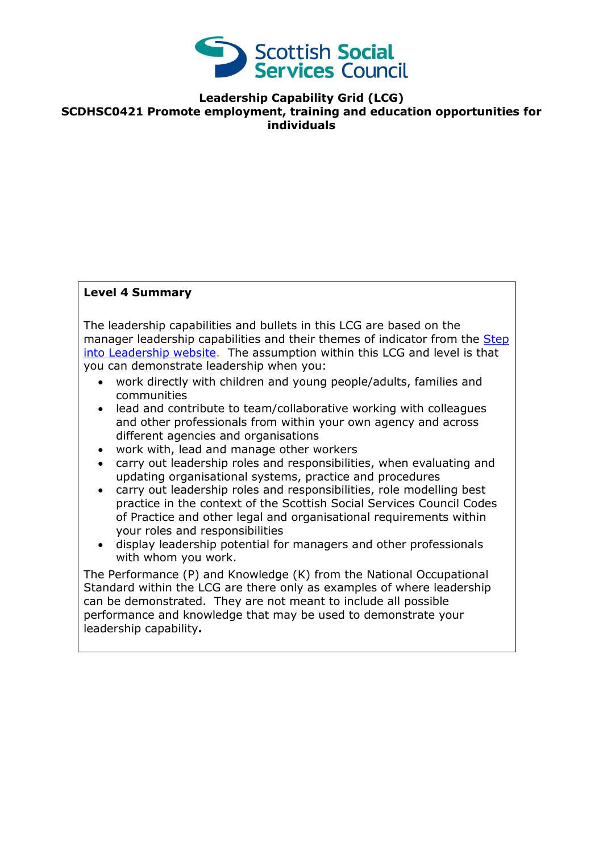

**Leadership Capability Grid (LCG) SCDHSC0421 Promote employment, training and education opportunities for individuals**

## **Level 4 Summary**

The leadership capabilities and bullets in this LCG are based on the manager leadership capabilities and their themes of indicator from the Step [into Leadership website.](http://www.stepintoleadership.info/) The assumption within this LCG and level is that you can demonstrate leadership when you:

- work directly with children and young people/adults, families and communities
- lead and contribute to team/collaborative working with colleagues and other professionals from within your own agency and across different agencies and organisations
- work with, lead and manage other workers
- carry out leadership roles and responsibilities, when evaluating and updating organisational systems, practice and procedures
- carry out leadership roles and responsibilities, role modelling best practice in the context of the Scottish Social Services Council Codes of Practice and other legal and organisational requirements within your roles and responsibilities
- display leadership potential for managers and other professionals with whom you work.

The Performance (P) and Knowledge (K) from the National Occupational Standard within the LCG are there only as examples of where leadership can be demonstrated. They are not meant to include all possible performance and knowledge that may be used to demonstrate your leadership capability**.**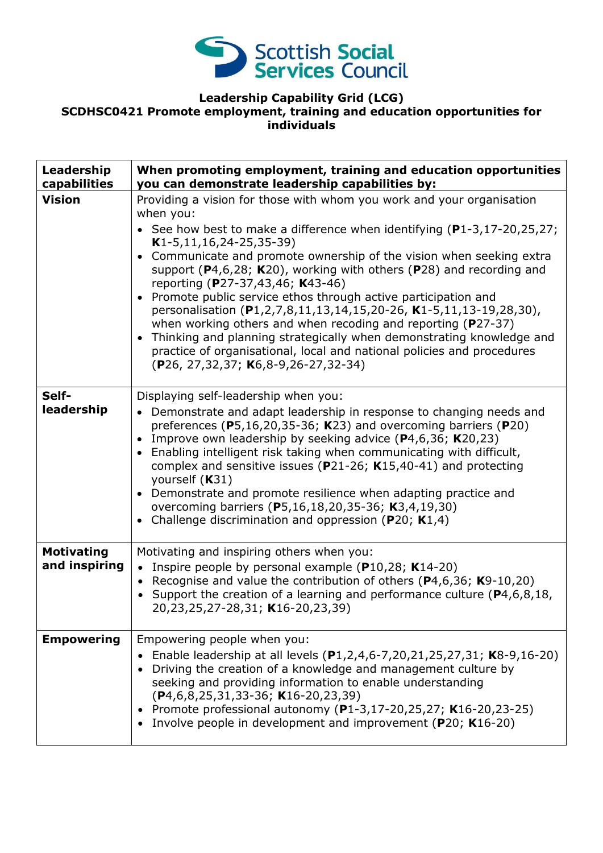

## **Leadership Capability Grid (LCG) SCDHSC0421 Promote employment, training and education opportunities for individuals**

| Leadership<br>capabilities         | When promoting employment, training and education opportunities<br>you can demonstrate leadership capabilities by:                                                                                                                                                                                                                                                                                                                                                                                                                                                                                                                                                                                                                                                                                                          |
|------------------------------------|-----------------------------------------------------------------------------------------------------------------------------------------------------------------------------------------------------------------------------------------------------------------------------------------------------------------------------------------------------------------------------------------------------------------------------------------------------------------------------------------------------------------------------------------------------------------------------------------------------------------------------------------------------------------------------------------------------------------------------------------------------------------------------------------------------------------------------|
| <b>Vision</b>                      | Providing a vision for those with whom you work and your organisation<br>when you:<br>• See how best to make a difference when identifying $(P1-3, 17-20, 25, 27)$ ;<br>$K1-5, 11, 16, 24-25, 35-39)$<br>Communicate and promote ownership of the vision when seeking extra<br>$\bullet$<br>support (P4,6,28; K20), working with others (P28) and recording and<br>reporting (P27-37,43,46; K43-46)<br>Promote public service ethos through active participation and<br>personalisation (P1,2,7,8,11,13,14,15,20-26, K1-5,11,13-19,28,30),<br>when working others and when recoding and reporting ( $P27-37$ )<br>Thinking and planning strategically when demonstrating knowledge and<br>$\bullet$<br>practice of organisational, local and national policies and procedures<br>$(P26, 27, 32, 37; K6, 8-9, 26-27, 32-34)$ |
| Self-<br>leadership                | Displaying self-leadership when you:<br>• Demonstrate and adapt leadership in response to changing needs and<br>preferences ( $P5,16,20,35-36$ ; K23) and overcoming barriers ( $P20$ )<br>Improve own leadership by seeking advice $(P4,6,36; K20,23)$<br>$\bullet$<br>Enabling intelligent risk taking when communicating with difficult,<br>$\bullet$<br>complex and sensitive issues ( $P$ 21-26; K15,40-41) and protecting<br>yourself (K31)<br>Demonstrate and promote resilience when adapting practice and<br>$\bullet$<br>overcoming barriers (P5,16,18,20,35-36; K3,4,19,30)<br>Challenge discrimination and oppression ( $P20$ ; K1,4)                                                                                                                                                                           |
| <b>Motivating</b><br>and inspiring | Motivating and inspiring others when you:<br>• Inspire people by personal example ( $P10,28$ ; K14-20)<br>• Recognise and value the contribution of others ( $P$ 4,6,36; K9-10,20)<br>• Support the creation of a learning and performance culture ( $P4, 6, 8, 18$ ,<br>20,23,25,27-28,31; K16-20,23,39)                                                                                                                                                                                                                                                                                                                                                                                                                                                                                                                   |
| <b>Empowering</b>                  | Empowering people when you:<br>Enable leadership at all levels (P1,2,4,6-7,20,21,25,27,31; K8-9,16-20)<br>Driving the creation of a knowledge and management culture by<br>seeking and providing information to enable understanding<br>$(P4, 6, 8, 25, 31, 33 - 36; K16 - 20, 23, 39)$<br>Promote professional autonomy (P1-3,17-20,25,27; K16-20,23-25)<br>Involve people in development and improvement (P20; K16-20)                                                                                                                                                                                                                                                                                                                                                                                                    |